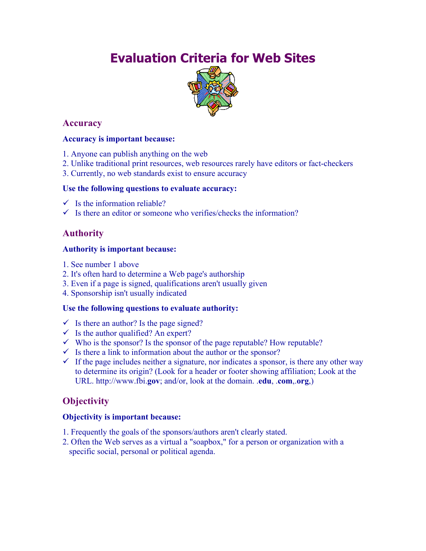# **Evaluation Criteria for Web Sites**



## **Accuracy**

## **Accuracy is important because:**

- 1. Anyone can publish anything on the web
- 2. Unlike traditional print resources, web resources rarely have editors or fact-checkers
- 3. Currently, no web standards exist to ensure accuracy

#### **Use the following questions to evaluate accuracy:**

- $\checkmark$  Is the information reliable?
- $\checkmark$  Is there an editor or someone who verifies/checks the information?

## **Authority**

#### **Authority is important because:**

- 1. See number 1 above
- 2. It's often hard to determine a Web page's authorship
- 3. Even if a page is signed, qualifications aren't usually given
- 4. Sponsorship isn't usually indicated

## **Use the following questions to evaluate authority:**

- $\checkmark$  Is there an author? Is the page signed?
- $\checkmark$  Is the author qualified? An expert?
- $\checkmark$  Who is the sponsor? Is the sponsor of the page reputable? How reputable?
- $\checkmark$  Is there a link to information about the author or the sponsor?
- $\checkmark$  If the page includes neither a signature, nor indicates a sponsor, is there any other way to determine its origin? (Look for a header or footer showing affiliation; Look at the URL. http://www.fbi.**gov**; and/or, look at the domain. .**edu**, .**com**,.**org**,)

## **Objectivity**

## **Objectivity is important because:**

- 1. Frequently the goals of the sponsors/authors aren't clearly stated.
- 2. Often the Web serves as a virtual a "soapbox," for a person or organization with a specific social, personal or political agenda.